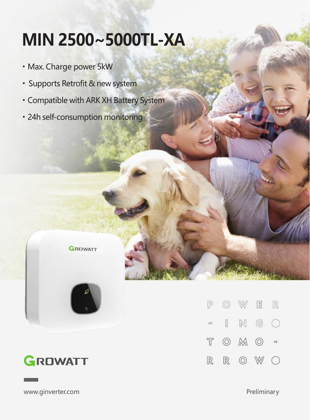## **MIN 2500~5000TL-XA**

- ·Max. Charge power 5kW
- ·Supports Retrofit & new system
- ·Compatible with ARK XH Battery System
- ·24h self-consumption monitoring







GROWATT

www.ginverter.com example and the example of the example of the example of the example of the example of the example of the example of the example of the example of the example of the example of the example of the example